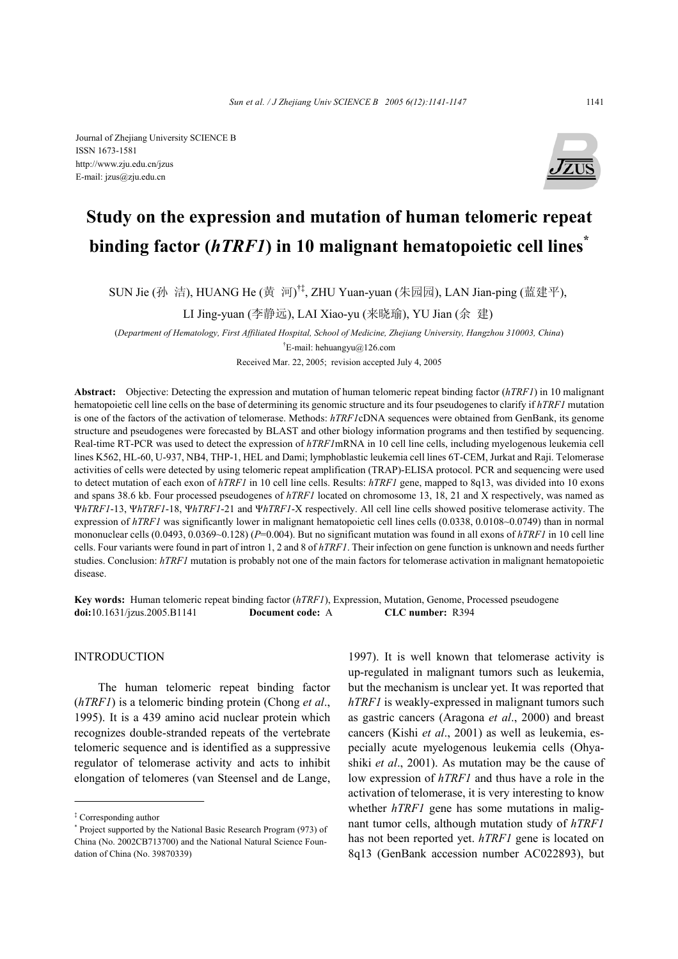

# **Study on the expression and mutation of human telomeric repeat binding factor (***hTRF1***) in 10 malignant hematopoietic cell lines\***

SUN Jie (孙 洁), HUANG He (黄 河) †‡, ZHU Yuan-yuan (朱园园), LAN Jian-ping (蓝建平),

LI Jing-yuan (李静远), LAI Xiao-yu (来晓瑜), YU Jian (余 建)

(*Department of Hematology, First Affiliated Hospital, School of Medicine, Zhejiang University, Hangzhou 310003, China*) <sup>†</sup>E-mail: hehuangyu@126.com

Received Mar. 22, 2005; revision accepted July 4, 2005

**Abstract:** Objective: Detecting the expression and mutation of human telomeric repeat binding factor (*hTRF1*) in 10 malignant hematopoietic cell line cells on the base of determining its genomic structure and its four pseudogenes to clarify if *hTRF1* mutation is one of the factors of the activation of telomerase. Methods: *hTRF1*cDNA sequences were obtained from GenBank, its genome structure and pseudogenes were forecasted by BLAST and other biology information programs and then testified by sequencing. Real-time RT-PCR was used to detect the expression of *hTRF1*mRNA in 10 cell line cells, including myelogenous leukemia cell lines K562, HL-60, U-937, NB4, THP-1, HEL and Dami; lymphoblastic leukemia cell lines 6T-CEM, Jurkat and Raji. Telomerase activities of cells were detected by using telomeric repeat amplification (TRAP)-ELISA protocol. PCR and sequencing were used to detect mutation of each exon of *hTRF1* in 10 cell line cells. Results: *hTRF1* gene, mapped to 8q13, was divided into 10 exons and spans 38.6 kb. Four processed pseudogenes of *hTRF1* located on chromosome 13, 18, 21 and X respectively, was named as Ψ*hTRF1*-13, Ψ*hTRF1*-18, Ψ*hTRF1*-21 and Ψ*hTRF1*-X respectively. All cell line cells showed positive telomerase activity. The expression of *hTRF1* was significantly lower in malignant hematopoietic cell lines cells (0.0338, 0.0108~0.0749) than in normal mononuclear cells (0.0493, 0.0369~0.128) (*P*=0.004). But no significant mutation was found in all exons of *hTRF1* in 10 cell line cells. Four variants were found in part of intron 1, 2 and 8 of *hTRF1*. Their infection on gene function is unknown and needs further studies. Conclusion: *hTRF1* mutation is probably not one of the main factors for telomerase activation in malignant hematopoietic disease.

**Key words:** Human telomeric repeat binding factor (*hTRF1*), Expression, Mutation, Genome, Processed pseudogene **doi:**10.1631/jzus.2005.B1141 **Document code:** A **CLC number:** R394

# INTRODUCTION

The human telomeric repeat binding factor (*hTRF1*) is a telomeric binding protein (Chong *et al*., 1995). It is a 439 amino acid nuclear protein which recognizes double-stranded repeats of the vertebrate telomeric sequence and is identified as a suppressive regulator of telomerase activity and acts to inhibit elongation of telomeres (van Steensel and de Lange,

1997). It is well known that telomerase activity is up-regulated in malignant tumors such as leukemia, but the mechanism is unclear yet. It was reported that *hTRF1* is weakly-expressed in malignant tumors such as gastric cancers (Aragona *et al*., 2000) and breast cancers (Kishi *et al*., 2001) as well as leukemia, especially acute myelogenous leukemia cells (Ohyashiki *et al*., 2001). As mutation may be the cause of low expression of *hTRF1* and thus have a role in the activation of telomerase, it is very interesting to know whether *hTRF1* gene has some mutations in malignant tumor cells, although mutation study of *hTRF1* has not been reported yet. *hTRF1* gene is located on 8q13 (GenBank accession number AC022893), but

<sup>‡</sup> Corresponding author

<sup>\*</sup> Project supported by the National Basic Research Program (973) of China (No. 2002CB713700) and the National Natural Science Foundation of China (No. 39870339)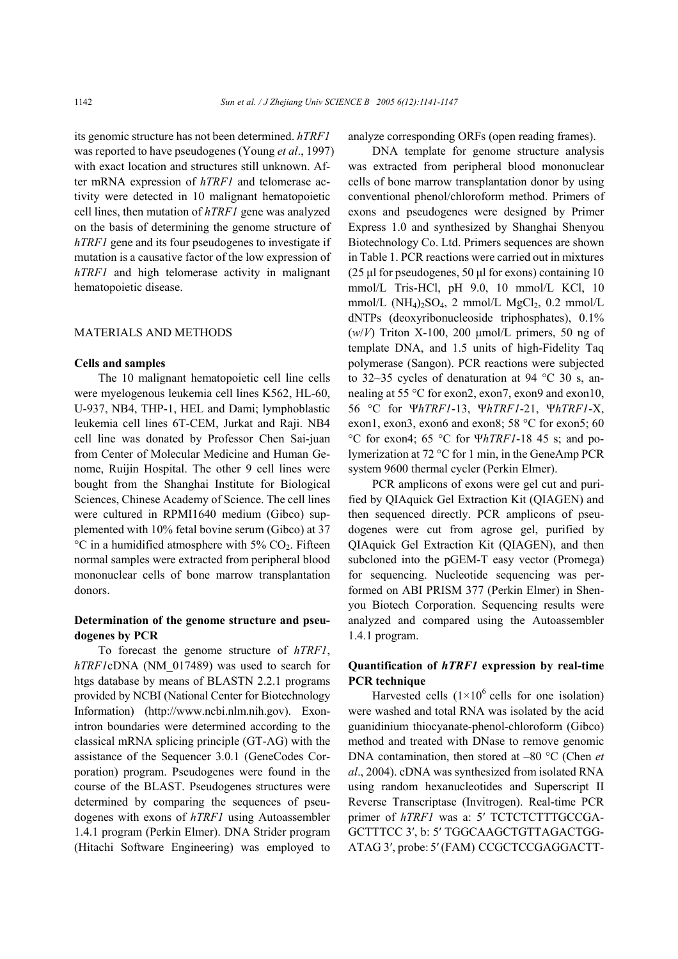its genomic structure has not been determined. *hTRF1* was reported to have pseudogenes (Young *et al*., 1997) with exact location and structures still unknown. After mRNA expression of *hTRF1* and telomerase activity were detected in 10 malignant hematopoietic cell lines, then mutation of *hTRF1* gene was analyzed on the basis of determining the genome structure of *hTRF1* gene and its four pseudogenes to investigate if mutation is a causative factor of the low expression of *hTRF1* and high telomerase activity in malignant hematopoietic disease.

## MATERIALS AND METHODS

#### **Cells and samples**

The 10 malignant hematopoietic cell line cells were myelogenous leukemia cell lines K562, HL-60, U-937, NB4, THP-1, HEL and Dami; lymphoblastic leukemia cell lines 6T-CEM, Jurkat and Raji. NB4 cell line was donated by Professor Chen Sai-juan from Center of Molecular Medicine and Human Genome, Ruijin Hospital. The other 9 cell lines were bought from the Shanghai Institute for Biological Sciences, Chinese Academy of Science. The cell lines were cultured in RPMI1640 medium (Gibco) supplemented with 10% fetal bovine serum (Gibco) at 37  $\rm{^{\circ}C}$  in a humidified atmosphere with 5% CO<sub>2</sub>. Fifteen normal samples were extracted from peripheral blood mononuclear cells of bone marrow transplantation donors.

# **Determination of the genome structure and pseudogenes by PCR**

To forecast the genome structure of *hTRF1*, *hTRF1*cDNA (NM\_017489) was used to search for htgs database by means of BLASTN 2.2.1 programs provided by NCBI (National Center for Biotechnology Information) (http://www.ncbi.nlm.nih.gov). Exonintron boundaries were determined according to the classical mRNA splicing principle (GT-AG) with the assistance of the Sequencer 3.0.1 (GeneCodes Corporation) program. Pseudogenes were found in the course of the BLAST. Pseudogenes structures were determined by comparing the sequences of pseudogenes with exons of *hTRF1* using Autoassembler 1.4.1 program (Perkin Elmer). DNA Strider program (Hitachi Software Engineering) was employed to

analyze corresponding ORFs (open reading frames).

DNA template for genome structure analysis was extracted from peripheral blood mononuclear cells of bone marrow transplantation donor by using conventional phenol/chloroform method. Primers of exons and pseudogenes were designed by Primer Express 1.0 and synthesized by Shanghai Shenyou Biotechnology Co. Ltd. Primers sequences are shown in Table 1. PCR reactions were carried out in mixtures ( $25 \mu$ I for pseudogenes,  $50 \mu$ I for exons) containing 10 mmol/L Tris-HCl, pH 9.0, 10 mmol/L KCl, 10 mmol/L  $(NH_4)_2SO_4$ , 2 mmol/L  $MgCl_2$ , 0.2 mmol/L dNTPs (deoxyribonucleoside triphosphates), 0.1% (*w*/*V*) Triton X-100, 200 µmol/L primers, 50 ng of template DNA, and 1.5 units of high-Fidelity Taq polymerase (Sangon). PCR reactions were subjected to 32~35 cycles of denaturation at 94 °C 30 s, annealing at 55 °C for exon2, exon7, exon9 and exon10, 56 °C for Ψ*hTRF1*-13, Ψ*hTRF1*-21, Ψ*hTRF1*-X, exon1, exon3, exon6 and exon8; 58 °C for exon5; 60 °C for exon4; 65 °C for Ψ*hTRF1*-18 45 s; and polymerization at 72 °C for 1 min, in the GeneAmp PCR system 9600 thermal cycler (Perkin Elmer).

PCR amplicons of exons were gel cut and purified by QIAquick Gel Extraction Kit (QIAGEN) and then sequenced directly. PCR amplicons of pseudogenes were cut from agrose gel, purified by QIAquick Gel Extraction Kit (QIAGEN), and then subcloned into the pGEM-T easy vector (Promega) for sequencing. Nucleotide sequencing was performed on ABI PRISM 377 (Perkin Elmer) in Shenyou Biotech Corporation. Sequencing results were analyzed and compared using the Autoassembler 1.4.1 program.

# **Quantification of** *hTRF1* **expression by real-time PCR technique**

Harvested cells  $(1\times10^6 \text{ cells for one isolation})$ were washed and total RNA was isolated by the acid guanidinium thiocyanate-phenol-chloroform (Gibco) method and treated with DNase to remove genomic DNA contamination, then stored at –80 °C (Chen *et al*., 2004). cDNA was synthesized from isolated RNA using random hexanucleotides and Superscript II Reverse Transcriptase (Invitrogen). Real-time PCR primer of  $hTRF1$  was a: 5' TCTCTCTTTGCCGA-GCTTTCC 3′, b: 5′ TGGCAAGCTGTTAGACTGG-ATAG 3′, probe: 5′(FAM) CCGCTCCGAGGACTT-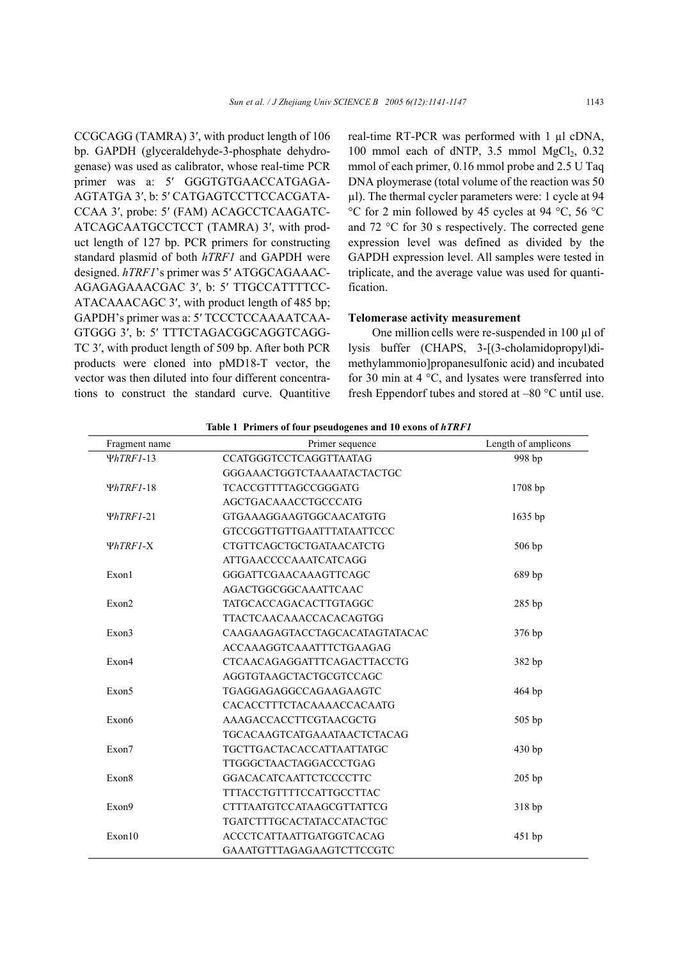CCGCAGG (TAMRA) 3′, with product length of 106 bp. GAPDH (glyceraldehyde-3-phosphate dehydrogenase) was used as calibrator, whose real-time PCR primer was a: 5' GGGTGTGAACCATGAGA-AGTATGA 3′, b: 5′ CATGAGTCCTTCCACGATA-CCAA 3′, probe: 5′ (FAM) ACAGCCTCAAGATC-ATCAGCAATGCCTCCT (TAMRA) 3′, with product length of 127 bp. PCR primers for constructing standard plasmid of both *hTRF1* and GAPDH were designed. *hTRF1*'s primer was 5′ ATGGCAGAAAC-AGAGAGAAACGAC 3′, b: 5′ TTGCCATTTTCC-ATACAAACAGC 3′, with product length of 485 bp; GAPDH's primer was a: 5′ TCCCTCCAAAATCAA-GTGGG 3′, b: 5′ TTTCTAGACGGCAGGTCAGG-TC 3′, with product length of 509 bp. After both PCR products were cloned into pMD18-T vector, the vector was then diluted into four different concentrations to construct the standard curve. Quantitive real-time RT-PCR was performed with 1 µl cDNA, 100 mmol each of dNTP,  $3.5$  mmol MgCl<sub>2</sub>,  $0.32$ mmol of each primer, 0.16 mmol probe and 2.5 U Taq DNA ploymerase (total volume of the reaction was 50 µl). The thermal cycler parameters were: 1 cycle at 94 °C for 2 min followed by 45 cycles at 94 °C, 56 °C and 72 °C for 30 s respectively. The corrected gene expression level was defined as divided by the GAPDH expression level. All samples were tested in triplicate, and the average value was used for quantification.

## **Telomerase activity measurement**

One million cells were re-suspended in 100 µl of lysis buffer (CHAPS, 3-[(3-cholamidopropyl)dimethylammonio]propanesulfonic acid) and incubated for 30 min at 4  $\degree$ C, and lysates were transferred into fresh Eppendorf tubes and stored at –80 °C until use.

| Fragment name   | Primer sequence                    | Length of amplicons |
|-----------------|------------------------------------|---------------------|
| $\Psi hTRFI-13$ | <b>CCATGGGTCCTCAGGTTAATAG</b>      | 998 bp              |
|                 | GGGAAACTGGTCTAAAATACTACTGC         |                     |
| $\Psi hTRFI-18$ | <b>TCACCGTTTTAGCCGGGATG</b>        | $1708$ bp           |
|                 | <b>AGCTGACAAACCTGCCCATG</b>        |                     |
| $\Psi hTRFI-21$ | GTGAAAGGAAGTGGCAACATGTG            | $1635$ bp           |
|                 | GTCCGGTTGTTGAATTTATAATTCCC         |                     |
| ΨhTRF1-X        | <b>CTGTTCAGCTGCTGATAACATCTG</b>    | 506 bp              |
|                 | <b>ATTGAACCCCAAATCATCAGG</b>       |                     |
| Exon1           | <b>GGGATTCGAACAAAGTTCAGC</b>       | 689 bp              |
|                 | AGACTGGCGGCAAATTCAAC               |                     |
| Exon2           | TATGCACCAGACACTTGTAGGC             | 285 bp              |
|                 | <b>TTACTCAACAAACCACACAGTGG</b>     |                     |
| Exon3           | CAAGAAGAGTACCTAGCACATAGTATACAC     | 376 bp              |
|                 | <b>ACCAAAGGTCAAATTTCTGAAGAG</b>    |                     |
| Exon4           | CTCAACAGAGGATTTCAGACTTACCTG        | 382 bp              |
|                 | AGGTGTAAGCTACTGCGTCCAGC            |                     |
| Exon5           | TGAGGAGAGGCCAGAAGAAGTC             | 464 bp              |
|                 | CACACCTTTCTACAAAACCACAATG          |                     |
| Exon6           | AAAGACCACCTTCGTAACGCTG             | 505 bp              |
|                 | <b>TGCACAAGTCATGAAATAACTCTACAG</b> |                     |
| Exon7           | <b>TGCTTGACTACACCATTAATTATGC</b>   | 430 bp              |
|                 | TTGGGCTAACTAGGACCCTGAG             |                     |
| Exon8           | <b>GGACACATCAATTCTCCCCTTC</b>      | $205$ bp            |
|                 | <b>TTTACCTGTTTTCCATTGCCTTAC</b>    |                     |
| Exon9           | <b>CTTTAATGTCCATAAGCGTTATTCG</b>   | 318 bp              |
|                 | TGATCTTTGCACTATACCATACTGC          |                     |
| Exon10          | <b>ACCCTCATTAATTGATGGTCACAG</b>    | 451 bp              |
|                 | GAAATGTTTAGAGAAGTCTTCCGTC          |                     |

Table 1 Primers of four pseudogenes and 10 exons of  $hTRF1$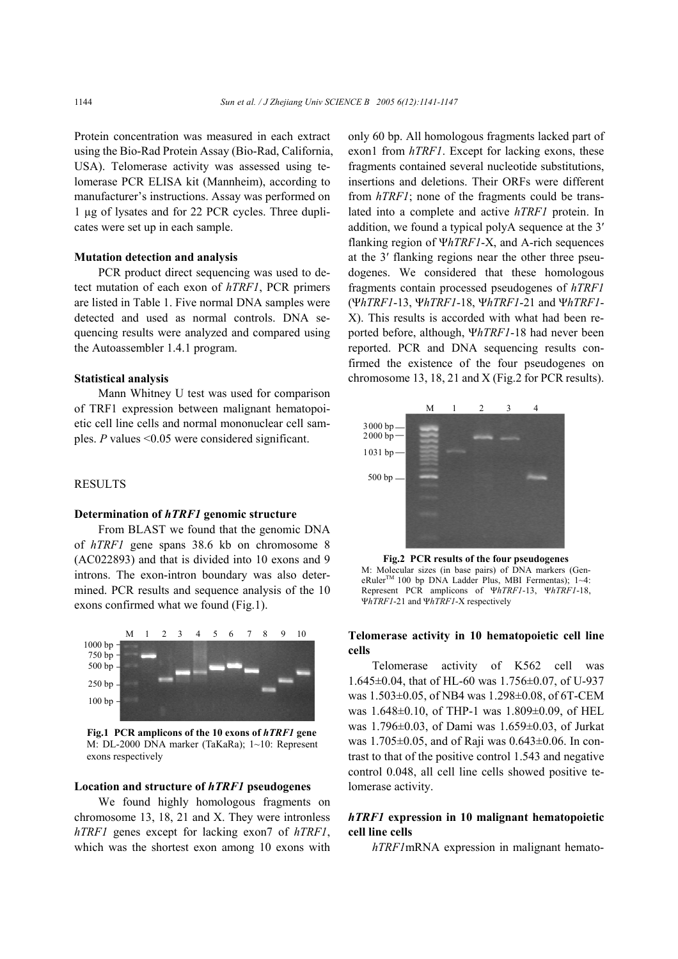Protein concentration was measured in each extract using the Bio-Rad Protein Assay (Bio-Rad, California, USA). Telomerase activity was assessed using telomerase PCR ELISA kit (Mannheim), according to manufacturer's instructions. Assay was performed on 1 µg of lysates and for 22 PCR cycles. Three duplicates were set up in each sample.

#### **Mutation detection and analysis**

PCR product direct sequencing was used to detect mutation of each exon of *hTRF1*, PCR primers are listed in Table 1. Five normal DNA samples were detected and used as normal controls. DNA sequencing results were analyzed and compared using the Autoassembler 1.4.1 program.

## **Statistical analysis**

Mann Whitney U test was used for comparison of TRF1 expression between malignant hematopoietic cell line cells and normal mononuclear cell samples. *P* values <0.05 were considered significant.

## RESULTS

#### **Determination of** *hTRF1* **genomic structure**

From BLAST we found that the genomic DNA of *hTRF1* gene spans 38.6 kb on chromosome 8 (AC022893) and that is divided into 10 exons and 9 introns. The exon-intron boundary was also determined. PCR results and sequence analysis of the 10 exons confirmed what we found (Fig.1).



**Fig.1 PCR amplicons of the 10 exons of** *hTRF1* **gene** M: DL-2000 DNA marker (TaKaRa); 1~10: Represent exons respectively

## **Location and structure of** *hTRF1* **pseudogenes**

We found highly homologous fragments on chromosome 13, 18, 21 and X. They were intronless *hTRF1* genes except for lacking exon7 of *hTRF1*, which was the shortest exon among 10 exons with only 60 bp. All homologous fragments lacked part of exon1 from *hTRF1*. Except for lacking exons, these fragments contained several nucleotide substitutions, insertions and deletions. Their ORFs were different from *hTRF1*; none of the fragments could be translated into a complete and active *hTRF1* protein. In addition, we found a typical polyA sequence at the 3′ flanking region of Ψ*hTRF1*-X, and A-rich sequences at the 3′ flanking regions near the other three pseudogenes. We considered that these homologous fragments contain processed pseudogenes of *hTRF1* (Ψ*hTRF1*-13, Ψ*hTRF1*-18, Ψ*hTRF1*-21 and Ψ*hTRF1*- X). This results is accorded with what had been reported before, although, Ψ*hTRF1*-18 had never been reported. PCR and DNA sequencing results confirmed the existence of the four pseudogenes on chromosome 13, 18, 21 and X (Fig.2 for PCR results).



**Fig.2 PCR results of the four pseudogenes** M: Molecular sizes (in base pairs) of DNA markers (GeneRuler<sup>™</sup> 100 bp DNA Ladder Plus, MBI Fermentas); 1~4: Represent PCR amplicons of Ψ*hTRF1*-13, Ψ*hTRF1*-18, Ψ*hTRF1*-21 and Ψ*hTRF1*-X respectively

## **Telomerase activity in 10 hematopoietic cell line cells**

Telomerase activity of K562 cell was 1.645±0.04, that of HL-60 was 1.756±0.07, of U-937 was 1.503±0.05, of NB4 was 1.298±0.08, of 6T-CEM was 1.648±0.10, of THP-1 was 1.809±0.09, of HEL was 1.796±0.03, of Dami was 1.659±0.03, of Jurkat was 1.705±0.05, and of Raji was 0.643±0.06. In contrast to that of the positive control 1.543 and negative control 0.048, all cell line cells showed positive telomerase activity.

# *hTRF1* **expression in 10 malignant hematopoietic cell line cells**

*hTRF1*mRNA expression in malignant hemato-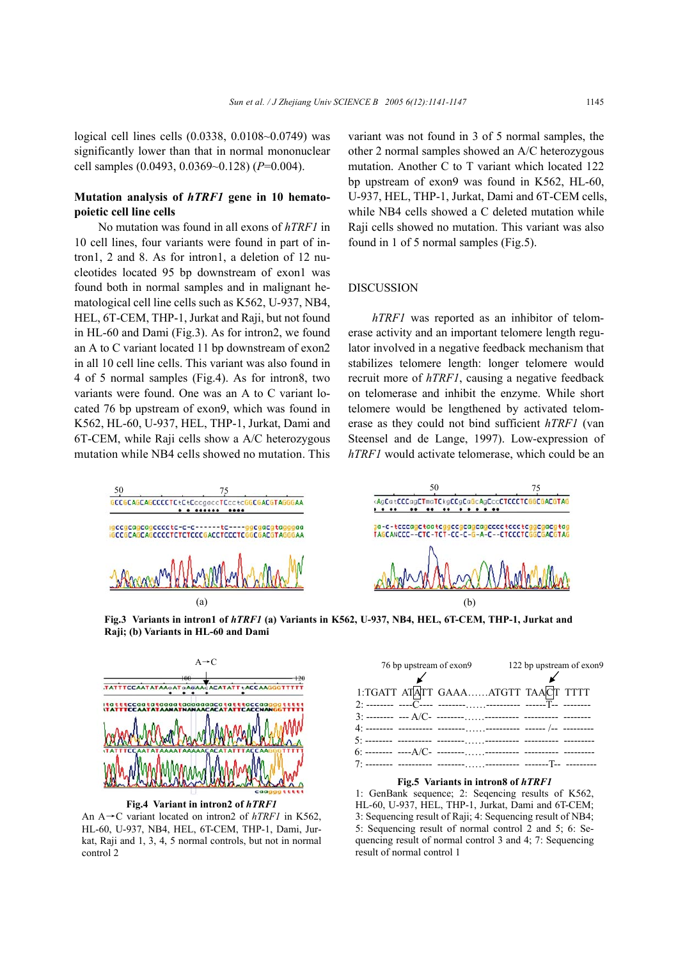# **Mutation analysis of** *hTRF1* **gene in 10 hematopoietic cell line cells**

No mutation was found in all exons of *hTRF1* in 10 cell lines, four variants were found in part of intron1, 2 and 8. As for intron1, a deletion of 12 nucleotides located 95 bp downstream of exon1 was found both in normal samples and in malignant hematological cell line cells such as K562, U-937, NB4, HEL, 6T-CEM, THP-1, Jurkat and Raji, but not found in HL-60 and Dami (Fig.3). As for intron2, we found an A to C variant located 11 bp downstream of exon2 in all 10 cell line cells. This variant was also found in 4 of 5 normal samples (Fig.4). As for intron8, two variants were found. One was an A to C variant located 76 bp upstream of exon9, which was found in K562, HL-60, U-937, HEL, THP-1, Jurkat, Dami and 6T-CEM, while Raji cells show a A/C heterozygous mutation while NB4 cells showed no mutation. This

variant was not found in 3 of 5 normal samples, the other 2 normal samples showed an A/C heterozygous mutation. Another C to T variant which located 122 bp upstream of exon9 was found in K562, HL-60, U-937, HEL, THP-1, Jurkat, Dami and 6T-CEM cells, while NB4 cells showed a C deleted mutation while Raji cells showed no mutation. This variant was also found in 1 of 5 normal samples (Fig.5).

#### DISCUSSION

*hTRF1* was reported as an inhibitor of telomerase activity and an important telomere length regulator involved in a negative feedback mechanism that stabilizes telomere length: longer telomere would recruit more of *hTRF1*, causing a negative feedback on telomerase and inhibit the enzyme. While short telomere would be lengthened by activated telomerase as they could not bind sufficient *hTRF1* (van Steensel and de Lange, 1997). Low-expression of *hTRF1* would activate telomerase, which could be an





**Fig.3 Variants in intron1 of** *hTRF1* **(a) Variants in K562, U-937, NB4, HEL, 6T-CEM, THP-1, Jurkat and Raji; (b) Variants in HL-60 and Dami**



**Fig.4 Variant in intron2 of** *hTRF1* An A→C variant located on intron2 of *hTRF1* in K562, HL-60, U-937, NB4, HEL, 6T-CEM, THP-1, Dami, Jurkat, Raji and 1, 3, 4, 5 normal controls, but not in normal control 2

|                                    | 76 bp upstream of exon9 122 bp upstream of exon9 |
|------------------------------------|--------------------------------------------------|
|                                    |                                                  |
| 1:TGATT ATATT GAAAATGTT TAACT TTTT |                                                  |
|                                    |                                                  |
|                                    |                                                  |
|                                    |                                                  |
|                                    |                                                  |

#### **Fig.5 Variants in intron8 of** *hTRF1*

1: GenBank sequence; 2: Seqencing results of K562, HL-60, U-937, HEL, THP-1, Jurkat, Dami and 6T-CEM; 3: Sequencing result of Raji; 4: Sequencing result of NB4; 5: Sequencing result of normal control 2 and 5; 6: Sequencing result of normal control 3 and 4; 7: Sequencing result of normal control 1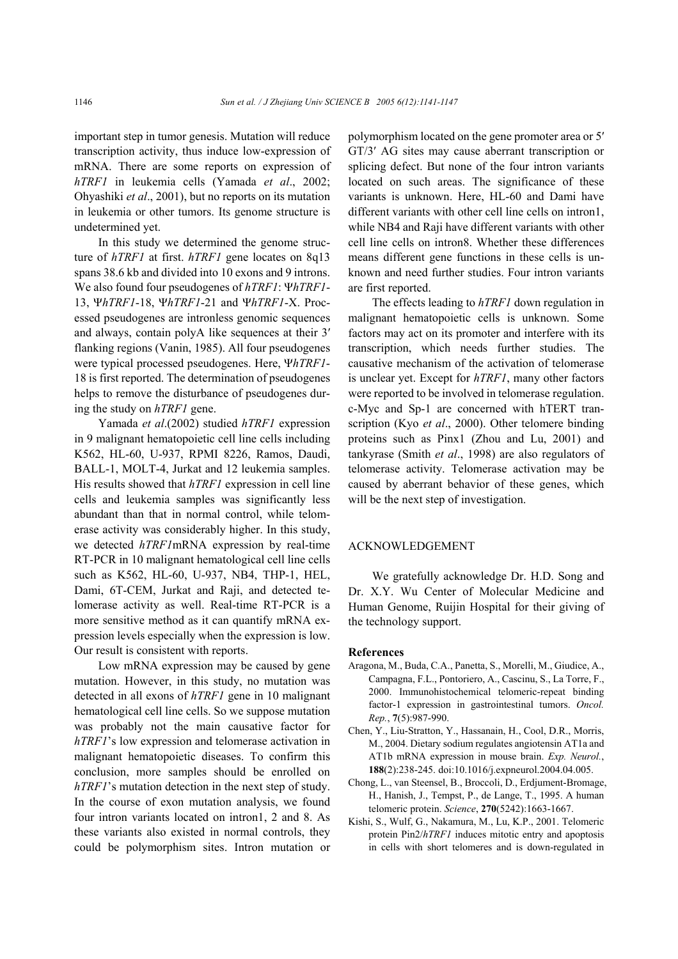important step in tumor genesis. Mutation will reduce transcription activity, thus induce low-expression of mRNA. There are some reports on expression of *hTRF1* in leukemia cells (Yamada *et al*., 2002; Ohyashiki *et al*., 2001), but no reports on its mutation in leukemia or other tumors. Its genome structure is undetermined yet.

In this study we determined the genome structure of *hTRF1* at first. *hTRF1* gene locates on 8q13 spans 38.6 kb and divided into 10 exons and 9 introns. We also found four pseudogenes of *hTRF1*: Ψ*hTRF1*- 13, Ψ*hTRF1*-18, Ψ*hTRF1*-21 and Ψ*hTRF1*-X. Processed pseudogenes are intronless genomic sequences and always, contain polyA like sequences at their 3′ flanking regions (Vanin, 1985). All four pseudogenes were typical processed pseudogenes. Here, Ψ*hTRF1*- 18 is first reported. The determination of pseudogenes helps to remove the disturbance of pseudogenes during the study on *hTRF1* gene.

Yamada *et al*.(2002) studied *hTRF1* expression in 9 malignant hematopoietic cell line cells including K562, HL-60, U-937, RPMI 8226, Ramos, Daudi, BALL-1, MOLT-4, Jurkat and 12 leukemia samples. His results showed that *hTRF1* expression in cell line cells and leukemia samples was significantly less abundant than that in normal control, while telomerase activity was considerably higher. In this study, we detected *hTRF1*mRNA expression by real-time RT-PCR in 10 malignant hematological cell line cells such as K562, HL-60, U-937, NB4, THP-1, HEL, Dami, 6T-CEM, Jurkat and Raji, and detected telomerase activity as well. Real-time RT-PCR is a more sensitive method as it can quantify mRNA expression levels especially when the expression is low. Our result is consistent with reports.

Low mRNA expression may be caused by gene mutation. However, in this study, no mutation was detected in all exons of *hTRF1* gene in 10 malignant hematological cell line cells. So we suppose mutation was probably not the main causative factor for *hTRF1*'s low expression and telomerase activation in malignant hematopoietic diseases. To confirm this conclusion, more samples should be enrolled on *hTRF1*'s mutation detection in the next step of study. In the course of exon mutation analysis, we found four intron variants located on intron1, 2 and 8. As these variants also existed in normal controls, they could be polymorphism sites. Intron mutation or polymorphism located on the gene promoter area or 5′ GT/3′ AG sites may cause aberrant transcription or splicing defect. But none of the four intron variants located on such areas. The significance of these variants is unknown. Here, HL-60 and Dami have different variants with other cell line cells on intron1, while NB4 and Raji have different variants with other cell line cells on intron8. Whether these differences means different gene functions in these cells is unknown and need further studies. Four intron variants are first reported.

The effects leading to *hTRF1* down regulation in malignant hematopoietic cells is unknown. Some factors may act on its promoter and interfere with its transcription, which needs further studies. The causative mechanism of the activation of telomerase is unclear yet. Except for *hTRF1*, many other factors were reported to be involved in telomerase regulation. c-Myc and Sp-1 are concerned with hTERT transcription (Kyo *et al*., 2000). Other telomere binding proteins such as Pinx1 (Zhou and Lu, 2001) and tankyrase (Smith *et al*., 1998) are also regulators of telomerase activity. Telomerase activation may be caused by aberrant behavior of these genes, which will be the next step of investigation.

## ACKNOWLEDGEMENT

We gratefully acknowledge Dr. H.D. Song and Dr. X.Y. Wu Center of Molecular Medicine and Human Genome, Ruijin Hospital for their giving of the technology support.

#### **References**

- Aragona, M., Buda, C.A., Panetta, S., Morelli, M., Giudice, A., Campagna, F.L., Pontoriero, A., Cascinu, S., La Torre, F., 2000. Immunohistochemical telomeric-repeat binding factor-1 expression in gastrointestinal tumors. *Oncol. Rep.*, **7**(5):987-990.
- Chen, Y., Liu-Stratton, Y., Hassanain, H., Cool, D.R., Morris, M., 2004. Dietary sodium regulates angiotensin AT1a and AT1b mRNA expression in mouse brain. *Exp. Neurol.*, **188**(2):238-245. doi:10.1016/j.expneurol.2004.04.005.
- Chong, L., van Steensel, B., Broccoli, D., Erdjument-Bromage, H., Hanish, J., Tempst, P., de Lange, T., 1995. A human telomeric protein. *Science*, **270**(5242):1663-1667.
- Kishi, S., Wulf, G., Nakamura, M., Lu, K.P., 2001. Telomeric protein Pin2/*hTRF1* induces mitotic entry and apoptosis in cells with short telomeres and is down-regulated in